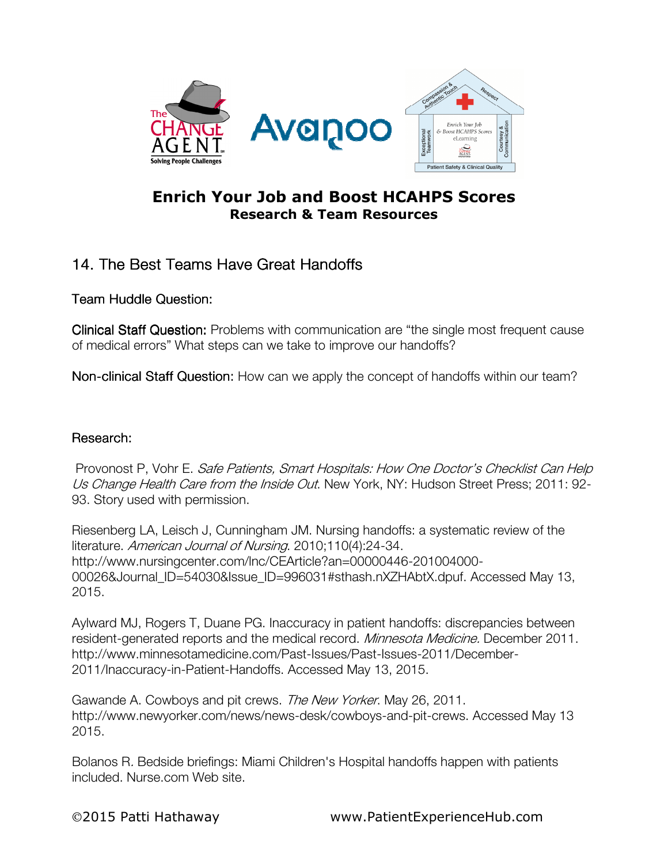

## Enrich Your Job and Boost HCAHPS Scores Research & Team Resources

## 14. The Best Teams Have Great Handoffs

Team Huddle Question:

Clinical Staff Question: Problems with communication are "the single most frequent cause of medical errors" What steps can we take to improve our handoffs?

Non-clinical Staff Question: How can we apply the concept of handoffs within our team?

## Research: Research:

 Provonost P, Vohr E. Safe Patients, Smart Hospitals: How One Doctor's Checklist Can Help Us Change Health Care from the Inside Out. New York, NY: Hudson Street Press; 2011: 92-93. Story used with permission.

Riesenberg LA, Leisch J, Cunningham JM. Nursing handoffs: a systematic review of the literature. American Journal of Nursing. 2010;110(4):24-34. http://www.nursingcenter.com/lnc/CEArticle?an=00000446-201004000- 00026&Journal\_ID=54030&Issue\_ID=996031#sthash.nXZHAbtX.dpuf. Accessed May 13, 2015.

Aylward MJ, Rogers T, Duane PG. Inaccuracy in patient handoffs: discrepancies between resident-generated reports and the medical record. *Minnesota Medicine*. December 2011. http://www.minnesotamedicine.com/Past-Issues/Past-Issues-2011/December-2011/Inaccuracy-in-Patient-Handoffs. Accessed May 13, 2015.

Gawande A. Cowboys and pit crews. The New Yorker. May 26, 2011. http://www.newyorker.com/news/news-desk/cowboys-and-pit-crews. Accessed May 13 2015.

Bolanos R. Bedside briefings: Miami Children's Hospital handoffs happen with patients included. Nurse.com Web site.